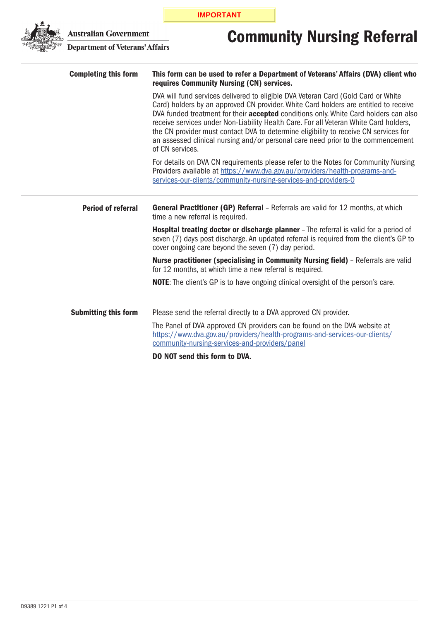**IMPORTANT**



## Community Nursing Referral

**Australian Government<br>Department of Veterans' Affairs** 

| <b>Completing this form</b> | This form can be used to refer a Department of Veterans' Affairs (DVA) client who<br>requires Community Nursing (CN) services.                                                                                                                                                                                                                                                                                                                                                                                                                                   |  |  |
|-----------------------------|------------------------------------------------------------------------------------------------------------------------------------------------------------------------------------------------------------------------------------------------------------------------------------------------------------------------------------------------------------------------------------------------------------------------------------------------------------------------------------------------------------------------------------------------------------------|--|--|
|                             | DVA will fund services delivered to eligible DVA Veteran Card (Gold Card or White<br>Card) holders by an approved CN provider. White Card holders are entitled to receive<br>DVA funded treatment for their <b>accepted</b> conditions only. White Card holders can also<br>receive services under Non-Liability Health Care. For all Veteran White Card holders,<br>the CN provider must contact DVA to determine eligibility to receive CN services for<br>an assessed clinical nursing and/or personal care need prior to the commencement<br>of CN services. |  |  |
|                             | For details on DVA CN requirements please refer to the Notes for Community Nursing<br>Providers available at https://www.dva.gov.au/providers/health-programs-and-<br>services-our-clients/community-nursing-services-and-providers-0                                                                                                                                                                                                                                                                                                                            |  |  |
| <b>Period of referral</b>   | <b>General Practitioner (GP) Referral</b> - Referrals are valid for 12 months, at which<br>time a new referral is required.                                                                                                                                                                                                                                                                                                                                                                                                                                      |  |  |
|                             | Hospital treating doctor or discharge planner - The referral is valid for a period of<br>seven (7) days post discharge. An updated referral is required from the client's GP to<br>cover ongoing care beyond the seven (7) day period.                                                                                                                                                                                                                                                                                                                           |  |  |
|                             | Nurse practitioner (specialising in Community Nursing field) - Referrals are valid<br>for 12 months, at which time a new referral is required.                                                                                                                                                                                                                                                                                                                                                                                                                   |  |  |
|                             | <b>NOTE:</b> The client's GP is to have ongoing clinical oversight of the person's care.                                                                                                                                                                                                                                                                                                                                                                                                                                                                         |  |  |
| <b>Submitting this form</b> | Please send the referral directly to a DVA approved CN provider.                                                                                                                                                                                                                                                                                                                                                                                                                                                                                                 |  |  |
|                             | The Panel of DVA approved CN providers can be found on the DVA website at<br>https://www.dva.gov.au/providers/health-programs-and-services-our-clients/<br>community-nursing-services-and-providers/panel                                                                                                                                                                                                                                                                                                                                                        |  |  |
|                             | <b>DO NOT send this form to DVA.</b>                                                                                                                                                                                                                                                                                                                                                                                                                                                                                                                             |  |  |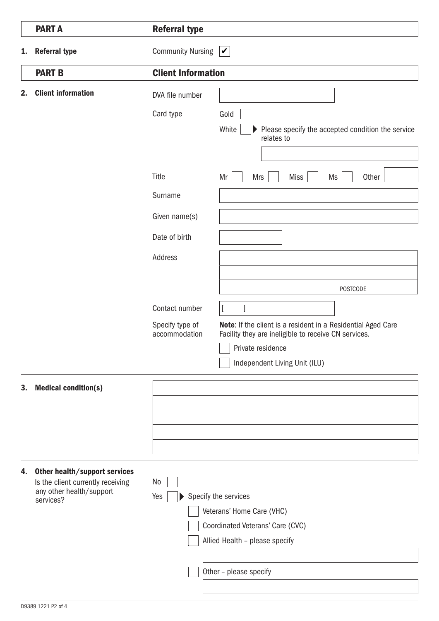|    | <b>PART A</b>                                                                                  | <b>Referral type</b>             |                                                                                                                      |
|----|------------------------------------------------------------------------------------------------|----------------------------------|----------------------------------------------------------------------------------------------------------------------|
| 1. | <b>Referral type</b>                                                                           | <b>Community Nursing</b>         | $\blacktriangledown$                                                                                                 |
|    | <b>PART B</b>                                                                                  | <b>Client Information</b>        |                                                                                                                      |
| 2. | <b>Client information</b>                                                                      | DVA file number                  |                                                                                                                      |
|    |                                                                                                | Card type                        | Gold                                                                                                                 |
|    |                                                                                                |                                  | White<br>Please specify the accepted condition the service<br>relates to                                             |
|    |                                                                                                |                                  |                                                                                                                      |
|    |                                                                                                | Title                            | Mr<br><b>Mrs</b><br><b>Miss</b><br>Ms<br>Other                                                                       |
|    |                                                                                                | Surname                          |                                                                                                                      |
|    |                                                                                                | Given name(s)                    |                                                                                                                      |
|    |                                                                                                | Date of birth                    |                                                                                                                      |
|    |                                                                                                | Address                          |                                                                                                                      |
|    |                                                                                                |                                  |                                                                                                                      |
|    |                                                                                                |                                  | <b>POSTCODE</b>                                                                                                      |
|    |                                                                                                | Contact number                   | 1                                                                                                                    |
|    |                                                                                                | Specify type of<br>accommodation | Note: If the client is a resident in a Residential Aged Care<br>Facility they are ineligible to receive CN services. |
|    |                                                                                                |                                  | Private residence                                                                                                    |
|    |                                                                                                |                                  | Independent Living Unit (ILU)                                                                                        |
| 3. | <b>Medical condition(s)</b>                                                                    |                                  |                                                                                                                      |
|    |                                                                                                |                                  |                                                                                                                      |
|    |                                                                                                |                                  |                                                                                                                      |
|    |                                                                                                |                                  |                                                                                                                      |
|    |                                                                                                |                                  |                                                                                                                      |
| 4. | Other health/support services<br>Is the client currently receiving<br>any other health/support | No                               |                                                                                                                      |
|    | services?                                                                                      | Yes                              | Specify the services<br>Veterans' Home Care (VHC)                                                                    |
|    |                                                                                                |                                  | Coordinated Veterans' Care (CVC)                                                                                     |
|    |                                                                                                |                                  | Allied Health - please specify                                                                                       |
|    |                                                                                                |                                  |                                                                                                                      |
|    |                                                                                                |                                  | Other - please specify                                                                                               |
|    |                                                                                                |                                  |                                                                                                                      |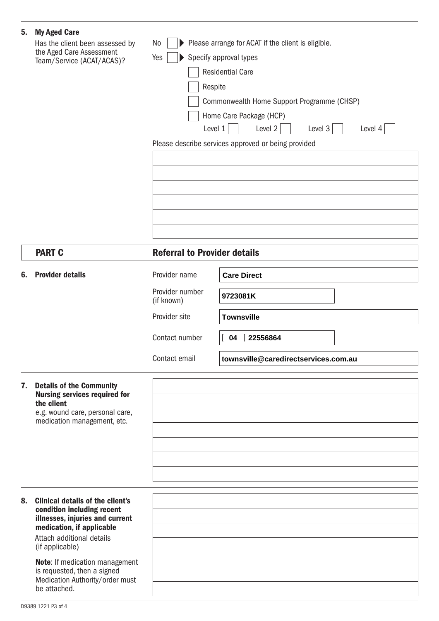| 5. | <b>My Aged Care</b><br>Has the client been assessed by<br>the Aged Care Assessment<br>Team/Service (ACAT/ACAS)?  | Please arrange for ACAT if the client is eligible.<br>No<br>Specify approval types<br>Yes<br>$\blacktriangleright$<br><b>Residential Care</b><br>Respite<br>Commonwealth Home Support Programme (CHSP)<br>Home Care Package (HCP)<br>Level 1<br>Level 2<br>Level $3$<br>Level 4<br>Please describe services approved or being provided |                                      |  |
|----|------------------------------------------------------------------------------------------------------------------|----------------------------------------------------------------------------------------------------------------------------------------------------------------------------------------------------------------------------------------------------------------------------------------------------------------------------------------|--------------------------------------|--|
|    | <b>PART C</b>                                                                                                    | <b>Referral to Provider details</b>                                                                                                                                                                                                                                                                                                    |                                      |  |
|    |                                                                                                                  |                                                                                                                                                                                                                                                                                                                                        |                                      |  |
| 6. | <b>Provider details</b>                                                                                          | Provider name                                                                                                                                                                                                                                                                                                                          | <b>Care Direct</b>                   |  |
|    |                                                                                                                  | Provider number<br>(if known)                                                                                                                                                                                                                                                                                                          | 9723081K                             |  |
|    |                                                                                                                  | Provider site                                                                                                                                                                                                                                                                                                                          | <b>Townsville</b>                    |  |
|    |                                                                                                                  | Contact number                                                                                                                                                                                                                                                                                                                         | 04 22556864                          |  |
|    |                                                                                                                  | Contact email                                                                                                                                                                                                                                                                                                                          | townsville@caredirectservices.com.au |  |
| 7. | <b>Details of the Community</b><br><b>Nursing services required for</b><br>the client                            |                                                                                                                                                                                                                                                                                                                                        |                                      |  |
|    | e.g. wound care, personal care,<br>medication management, etc.                                                   |                                                                                                                                                                                                                                                                                                                                        |                                      |  |
|    |                                                                                                                  |                                                                                                                                                                                                                                                                                                                                        |                                      |  |
|    |                                                                                                                  |                                                                                                                                                                                                                                                                                                                                        |                                      |  |
|    |                                                                                                                  |                                                                                                                                                                                                                                                                                                                                        |                                      |  |
| 8. | <b>Clinical details of the client's</b>                                                                          |                                                                                                                                                                                                                                                                                                                                        |                                      |  |
|    | condition including recent<br>illnesses, injuries and current                                                    |                                                                                                                                                                                                                                                                                                                                        |                                      |  |
|    | medication, if applicable<br>Attach additional details                                                           |                                                                                                                                                                                                                                                                                                                                        |                                      |  |
|    | (if applicable)                                                                                                  |                                                                                                                                                                                                                                                                                                                                        |                                      |  |
|    | Note: If medication management<br>is requested, then a signed<br>Medication Authority/order must<br>be attached. |                                                                                                                                                                                                                                                                                                                                        |                                      |  |